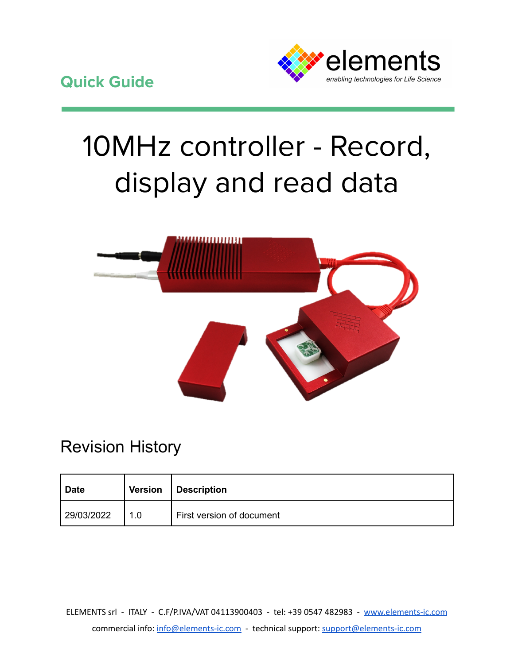

# 10MHz controller - Record, display and read data



## Revision History

| <b>Date</b> |     | Version   Description     |
|-------------|-----|---------------------------|
| 29/03/2022  | 1.0 | First version of document |

ELEMENTS srl - ITALY - C.F/P.IVA/VAT 04113900403 - tel: +39 0547 482983 - [www.elements-ic.com](http://www.elements-ic.com) commercial info: [info@elements-ic.com](mailto:info@elements-ic.com) - technical support: [support@elements-ic.com](mailto:support@elements-ic.com)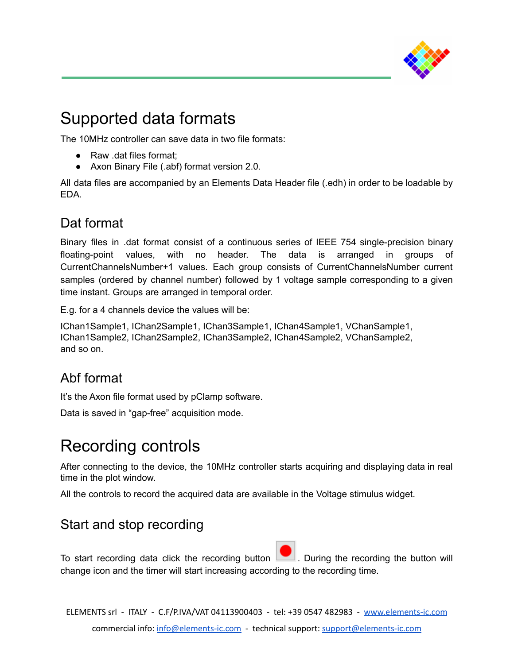

## Supported data formats

The 10MHz controller can save data in two file formats:

- Raw .dat files format:
- Axon Binary File (.abf) format version 2.0.

All data files are accompanied by an Elements Data Header file (.edh) in order to be loadable by EDA.

#### Dat format

Binary files in .dat format consist of a continuous series of IEEE 754 single-precision binary floating-point values, with no header. The data is arranged in groups of CurrentChannelsNumber+1 values. Each group consists of CurrentChannelsNumber current samples (ordered by channel number) followed by 1 voltage sample corresponding to a given time instant. Groups are arranged in temporal order.

E.g. for a 4 channels device the values will be:

IChan1Sample1, IChan2Sample1, IChan3Sample1, IChan4Sample1, VChanSample1, IChan1Sample2, IChan2Sample2, IChan3Sample2, IChan4Sample2, VChanSample2, and so on.

### Abf format

It's the Axon file format used by pClamp software.

Data is saved in "gap-free" acquisition mode.

## Recording controls

After connecting to the device, the 10MHz controller starts acquiring and displaying data in real time in the plot window.

All the controls to record the acquired data are available in the Voltage stimulus widget.

#### Start and stop recording

To start recording data click the recording button  $\Box$  During the recording the button will change icon and the timer will start increasing according to the recording time.

ELEMENTS srl - ITALY - C.F/P.IVA/VAT 04113900403 - tel: +39 0547 482983 - [www.elements-ic.com](http://www.elements-ic.com) commercial info: [info@elements-ic.com](mailto:info@elements-ic.com) - technical support: [support@elements-ic.com](mailto:support@elements-ic.com)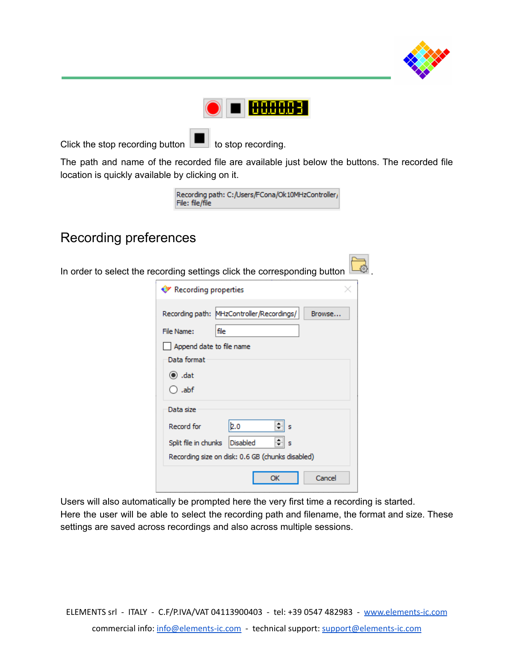



Click the stop recording button  $\boxed{\blacksquare}$  to stop recording.

The path and name of the recorded file are available just below the buttons. The recorded file location is quickly available by clicking on it.

| Recording path: C:/Users/FCona/Ok10MHzController/ |  |
|---------------------------------------------------|--|
| File: file/file                                   |  |

#### Recording preferences

In order to select the recording settings click the corresponding button  $\mathbb L$ 

| ♡ Recording properties   |                                                  |        |
|--------------------------|--------------------------------------------------|--------|
|                          | Recording path: MHzController/Recordings/        | Browse |
| File Name:<br>file       |                                                  |        |
| Append date to file name |                                                  |        |
| Data format              |                                                  |        |
| $\odot$ .dat             |                                                  |        |
| $\bigcirc$ .abf          |                                                  |        |
| Data size                |                                                  |        |
| Record for               | ≑  s<br>2.0                                      |        |
| Split file in chunks     | ≑∥ s<br><b>Disabled</b>                          |        |
|                          | Recording size on disk: 0.6 GB (chunks disabled) |        |
|                          | OK                                               | Cancel |

Users will also automatically be prompted here the very first time a recording is started.

Here the user will be able to select the recording path and filename, the format and size. These settings are saved across recordings and also across multiple sessions.